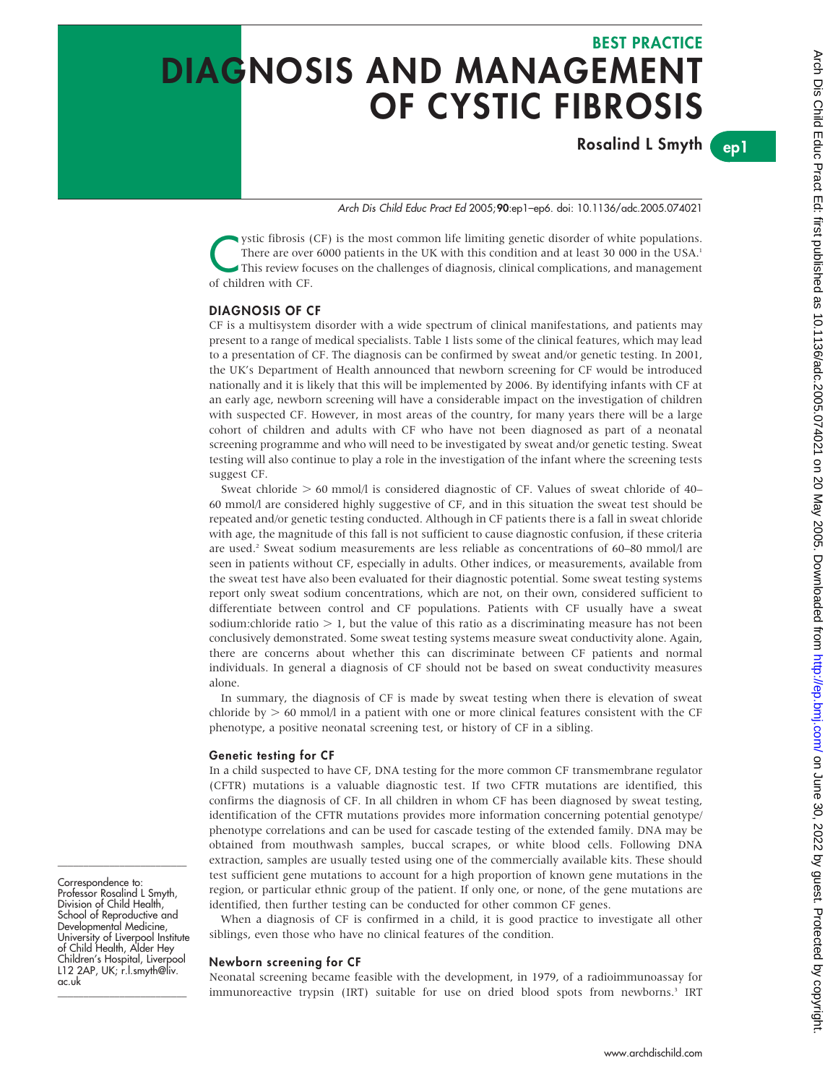# BEST PRACTICE DIAGNOSIS AND MANAGEMENT OF CYSTIC FIBROSIS

Rosalind L Smyth

ep1

Arch Dis Child Educ Pract Ed 2005;90:ep1–ep6. doi: 10.1136/adc.2005.074021

ystic fibrosis (CF) is the most common life limiting genetic disorder of white populations.<br>There are over 6000 patients in the UK with this condition and at least 30 000 in the USA.<sup>1</sup><br>This review focuses on the challenge There are over 6000 patients in the UK with this condition and at least 30 000 in the USA.<sup>1</sup> of children with CF.

### DIAGNOSIS OF CF

CF is a multisystem disorder with a wide spectrum of clinical manifestations, and patients may present to a range of medical specialists. Table 1 lists some of the clinical features, which may lead to a presentation of CF. The diagnosis can be confirmed by sweat and/or genetic testing. In 2001, the UK's Department of Health announced that newborn screening for CF would be introduced nationally and it is likely that this will be implemented by 2006. By identifying infants with CF at an early age, newborn screening will have a considerable impact on the investigation of children with suspected CF. However, in most areas of the country, for many years there will be a large cohort of children and adults with CF who have not been diagnosed as part of a neonatal screening programme and who will need to be investigated by sweat and/or genetic testing. Sweat testing will also continue to play a role in the investigation of the infant where the screening tests suggest CF.

Sweat chloride  $> 60$  mmol/l is considered diagnostic of CF. Values of sweat chloride of 40– 60 mmol/l are considered highly suggestive of CF, and in this situation the sweat test should be repeated and/or genetic testing conducted. Although in CF patients there is a fall in sweat chloride with age, the magnitude of this fall is not sufficient to cause diagnostic confusion, if these criteria are used.2 Sweat sodium measurements are less reliable as concentrations of 60–80 mmol/l are seen in patients without CF, especially in adults. Other indices, or measurements, available from the sweat test have also been evaluated for their diagnostic potential. Some sweat testing systems report only sweat sodium concentrations, which are not, on their own, considered sufficient to differentiate between control and CF populations. Patients with CF usually have a sweat sodium:chloride ratio  $> 1$ , but the value of this ratio as a discriminating measure has not been conclusively demonstrated. Some sweat testing systems measure sweat conductivity alone. Again, there are concerns about whether this can discriminate between CF patients and normal individuals. In general a diagnosis of CF should not be based on sweat conductivity measures alone.

In summary, the diagnosis of CF is made by sweat testing when there is elevation of sweat chloride by  $> 60$  mmol/l in a patient with one or more clinical features consistent with the CF phenotype, a positive neonatal screening test, or history of CF in a sibling.

### Genetic testing for CF

In a child suspected to have CF, DNA testing for the more common CF transmembrane regulator (CFTR) mutations is a valuable diagnostic test. If two CFTR mutations are identified, this confirms the diagnosis of CF. In all children in whom CF has been diagnosed by sweat testing, identification of the CFTR mutations provides more information concerning potential genotype/ phenotype correlations and can be used for cascade testing of the extended family. DNA may be obtained from mouthwash samples, buccal scrapes, or white blood cells. Following DNA extraction, samples are usually tested using one of the commercially available kits. These should test sufficient gene mutations to account for a high proportion of known gene mutations in the region, or particular ethnic group of the patient. If only one, or none, of the gene mutations are identified, then further testing can be conducted for other common CF genes.

When a diagnosis of CF is confirmed in a child, it is good practice to investigate all other siblings, even those who have no clinical features of the condition.

### Newborn screening for CF

Neonatal screening became feasible with the development, in 1979, of a radioimmunoassay for immunoreactive trypsin (IRT) suitable for use on dried blood spots from newborns.3 IRT

Correspondence to: Professor Rosalind L Smyth, Division of Child Health, School of Reproductive and Developmental Medicine, University of Liverpool Institute of Child Health, Alder Hey Children's Hospital, Liverpool L12 2AP, UK; r.l.smyth@liv. ac.uk

\_\_\_\_\_\_\_\_\_\_\_\_\_\_\_\_\_\_\_\_\_\_\_\_\_

\_\_\_\_\_\_\_\_\_\_\_\_\_\_\_\_\_\_\_\_\_\_\_\_\_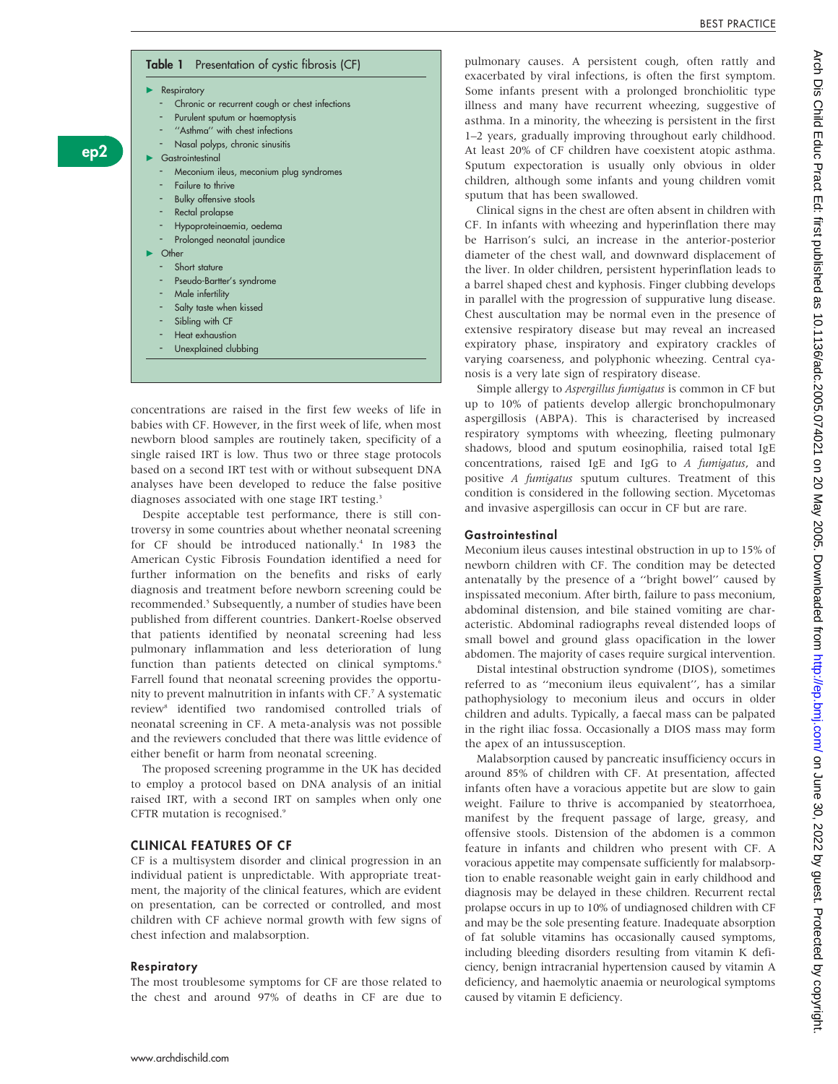### Table 1 Presentation of cystic fibrosis (CF)

 $\blacktriangleright$  Respiratory

ep2

- Chronic or recurrent cough or chest infections
- Purulent sputum or haemoptysis
- "Asthma" with chest infections
- Nasal polyps, chronic sinusitis Gastrointestinal
- - Meconium ileus, meconium plug syndromes
	- **Failure to thrive**
	- Bulky offensive stools
	- Rectal prolapse
	- Hypoproteinaemia, oedema
	- Prolonged neonatal jaundice c Other
- Short stature
	- Pseudo-Bartter's syndrome
	- Male infertility
- Salty taste when kissed
- Sibling with CF
- Heat exhaustion
- Unexplained clubbing

concentrations are raised in the first few weeks of life in babies with CF. However, in the first week of life, when most newborn blood samples are routinely taken, specificity of a single raised IRT is low. Thus two or three stage protocols based on a second IRT test with or without subsequent DNA analyses have been developed to reduce the false positive diagnoses associated with one stage IRT testing.<sup>3</sup>

Despite acceptable test performance, there is still controversy in some countries about whether neonatal screening for CF should be introduced nationally.<sup>4</sup> In 1983 the American Cystic Fibrosis Foundation identified a need for further information on the benefits and risks of early diagnosis and treatment before newborn screening could be recommended.<sup>5</sup> Subsequently, a number of studies have been published from different countries. Dankert-Roelse observed that patients identified by neonatal screening had less pulmonary inflammation and less deterioration of lung function than patients detected on clinical symptoms.<sup>6</sup> Farrell found that neonatal screening provides the opportunity to prevent malnutrition in infants with CF.7 A systematic review8 identified two randomised controlled trials of neonatal screening in CF. A meta-analysis was not possible and the reviewers concluded that there was little evidence of either benefit or harm from neonatal screening.

The proposed screening programme in the UK has decided to employ a protocol based on DNA analysis of an initial raised IRT, with a second IRT on samples when only one CFTR mutation is recognised.<sup>9</sup>

### CLINICAL FEATURES OF CF

CF is a multisystem disorder and clinical progression in an individual patient is unpredictable. With appropriate treatment, the majority of the clinical features, which are evident on presentation, can be corrected or controlled, and most children with CF achieve normal growth with few signs of chest infection and malabsorption.

### Respiratory

The most troublesome symptoms for CF are those related to the chest and around 97% of deaths in CF are due to

pulmonary causes. A persistent cough, often rattly and exacerbated by viral infections, is often the first symptom. Some infants present with a prolonged bronchiolitic type illness and many have recurrent wheezing, suggestive of asthma. In a minority, the wheezing is persistent in the first 1–2 years, gradually improving throughout early childhood. At least 20% of CF children have coexistent atopic asthma. Sputum expectoration is usually only obvious in older children, although some infants and young children vomit sputum that has been swallowed.

Clinical signs in the chest are often absent in children with CF. In infants with wheezing and hyperinflation there may be Harrison's sulci, an increase in the anterior-posterior diameter of the chest wall, and downward displacement of the liver. In older children, persistent hyperinflation leads to a barrel shaped chest and kyphosis. Finger clubbing develops in parallel with the progression of suppurative lung disease. Chest auscultation may be normal even in the presence of extensive respiratory disease but may reveal an increased expiratory phase, inspiratory and expiratory crackles of varying coarseness, and polyphonic wheezing. Central cyanosis is a very late sign of respiratory disease.

Simple allergy to Aspergillus fumigatus is common in CF but up to 10% of patients develop allergic bronchopulmonary aspergillosis (ABPA). This is characterised by increased respiratory symptoms with wheezing, fleeting pulmonary shadows, blood and sputum eosinophilia, raised total IgE concentrations, raised IgE and IgG to A fumigatus, and positive A fumigatus sputum cultures. Treatment of this condition is considered in the following section. Mycetomas and invasive aspergillosis can occur in CF but are rare.

### **Gastrointestinal**

Meconium ileus causes intestinal obstruction in up to 15% of newborn children with CF. The condition may be detected antenatally by the presence of a ''bright bowel'' caused by inspissated meconium. After birth, failure to pass meconium, abdominal distension, and bile stained vomiting are characteristic. Abdominal radiographs reveal distended loops of small bowel and ground glass opacification in the lower abdomen. The majority of cases require surgical intervention.

Distal intestinal obstruction syndrome (DIOS), sometimes referred to as ''meconium ileus equivalent'', has a similar pathophysiology to meconium ileus and occurs in older children and adults. Typically, a faecal mass can be palpated in the right iliac fossa. Occasionally a DIOS mass may form the apex of an intussusception.

Malabsorption caused by pancreatic insufficiency occurs in around 85% of children with CF. At presentation, affected infants often have a voracious appetite but are slow to gain weight. Failure to thrive is accompanied by steatorrhoea, manifest by the frequent passage of large, greasy, and offensive stools. Distension of the abdomen is a common feature in infants and children who present with CF. A voracious appetite may compensate sufficiently for malabsorption to enable reasonable weight gain in early childhood and diagnosis may be delayed in these children. Recurrent rectal prolapse occurs in up to 10% of undiagnosed children with CF and may be the sole presenting feature. Inadequate absorption of fat soluble vitamins has occasionally caused symptoms, including bleeding disorders resulting from vitamin K deficiency, benign intracranial hypertension caused by vitamin A deficiency, and haemolytic anaemia or neurological symptoms caused by vitamin E deficiency.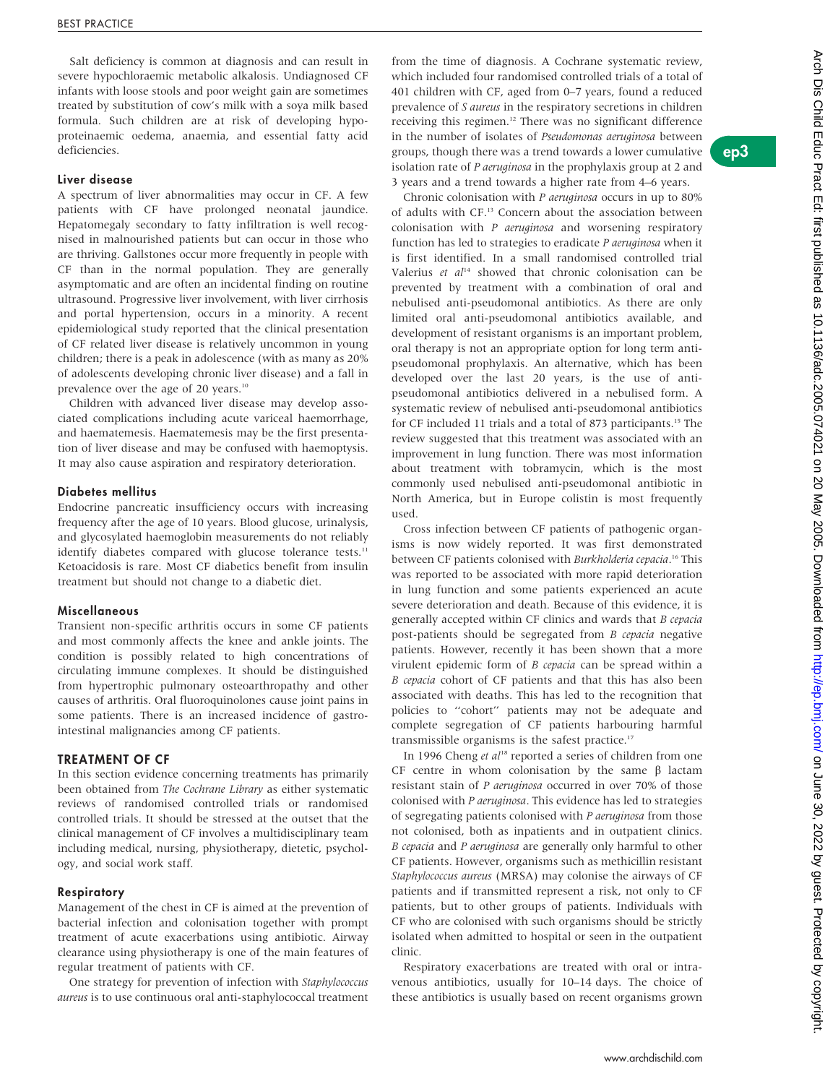Salt deficiency is common at diagnosis and can result in severe hypochloraemic metabolic alkalosis. Undiagnosed CF infants with loose stools and poor weight gain are sometimes treated by substitution of cow's milk with a soya milk based formula. Such children are at risk of developing hypoproteinaemic oedema, anaemia, and essential fatty acid deficiencies.

### Liver disease

A spectrum of liver abnormalities may occur in CF. A few patients with CF have prolonged neonatal jaundice. Hepatomegaly secondary to fatty infiltration is well recognised in malnourished patients but can occur in those who are thriving. Gallstones occur more frequently in people with CF than in the normal population. They are generally asymptomatic and are often an incidental finding on routine ultrasound. Progressive liver involvement, with liver cirrhosis and portal hypertension, occurs in a minority. A recent epidemiological study reported that the clinical presentation of CF related liver disease is relatively uncommon in young children; there is a peak in adolescence (with as many as 20% of adolescents developing chronic liver disease) and a fall in prevalence over the age of 20 years.10

Children with advanced liver disease may develop associated complications including acute variceal haemorrhage, and haematemesis. Haematemesis may be the first presentation of liver disease and may be confused with haemoptysis. It may also cause aspiration and respiratory deterioration.

### Diabetes mellitus

Endocrine pancreatic insufficiency occurs with increasing frequency after the age of 10 years. Blood glucose, urinalysis, and glycosylated haemoglobin measurements do not reliably identify diabetes compared with glucose tolerance tests.<sup>11</sup> Ketoacidosis is rare. Most CF diabetics benefit from insulin treatment but should not change to a diabetic diet.

### Miscellaneous

Transient non-specific arthritis occurs in some CF patients and most commonly affects the knee and ankle joints. The condition is possibly related to high concentrations of circulating immune complexes. It should be distinguished from hypertrophic pulmonary osteoarthropathy and other causes of arthritis. Oral fluoroquinolones cause joint pains in some patients. There is an increased incidence of gastrointestinal malignancies among CF patients.

### TREATMENT OF CF

In this section evidence concerning treatments has primarily been obtained from The Cochrane Library as either systematic reviews of randomised controlled trials or randomised controlled trials. It should be stressed at the outset that the clinical management of CF involves a multidisciplinary team including medical, nursing, physiotherapy, dietetic, psychology, and social work staff.

### Respiratory

Management of the chest in CF is aimed at the prevention of bacterial infection and colonisation together with prompt treatment of acute exacerbations using antibiotic. Airway clearance using physiotherapy is one of the main features of regular treatment of patients with CF.

One strategy for prevention of infection with Staphylococcus aureus is to use continuous oral anti-staphylococcal treatment from the time of diagnosis. A Cochrane systematic review, which included four randomised controlled trials of a total of 401 children with CF, aged from 0–7 years, found a reduced prevalence of S aureus in the respiratory secretions in children receiving this regimen.<sup>12</sup> There was no significant difference in the number of isolates of Pseudomonas aeruginosa between groups, though there was a trend towards a lower cumulative isolation rate of P aeruginosa in the prophylaxis group at 2 and 3 years and a trend towards a higher rate from 4–6 years.

Chronic colonisation with P aeruginosa occurs in up to 80% of adults with CF.13 Concern about the association between colonisation with P aeruginosa and worsening respiratory function has led to strategies to eradicate P aeruginosa when it is first identified. In a small randomised controlled trial Valerius et  $al<sup>14</sup>$  showed that chronic colonisation can be prevented by treatment with a combination of oral and nebulised anti-pseudomonal antibiotics. As there are only limited oral anti-pseudomonal antibiotics available, and development of resistant organisms is an important problem, oral therapy is not an appropriate option for long term antipseudomonal prophylaxis. An alternative, which has been developed over the last 20 years, is the use of antipseudomonal antibiotics delivered in a nebulised form. A systematic review of nebulised anti-pseudomonal antibiotics for CF included 11 trials and a total of 873 participants.<sup>15</sup> The review suggested that this treatment was associated with an improvement in lung function. There was most information about treatment with tobramycin, which is the most commonly used nebulised anti-pseudomonal antibiotic in North America, but in Europe colistin is most frequently used.

Cross infection between CF patients of pathogenic organisms is now widely reported. It was first demonstrated between CF patients colonised with Burkholderia cepacia.<sup>16</sup> This was reported to be associated with more rapid deterioration in lung function and some patients experienced an acute severe deterioration and death. Because of this evidence, it is generally accepted within CF clinics and wards that B cepacia post-patients should be segregated from *B cepacia* negative patients. However, recently it has been shown that a more virulent epidemic form of B cepacia can be spread within a B cepacia cohort of CF patients and that this has also been associated with deaths. This has led to the recognition that policies to ''cohort'' patients may not be adequate and complete segregation of CF patients harbouring harmful transmissible organisms is the safest practice.17

In 1996 Cheng et  $al^{18}$  reported a series of children from one CF centre in whom colonisation by the same  $\beta$  lactam resistant stain of P aeruginosa occurred in over 70% of those colonised with P aeruginosa. This evidence has led to strategies of segregating patients colonised with P aeruginosa from those not colonised, both as inpatients and in outpatient clinics. B cepacia and P aeruginosa are generally only harmful to other CF patients. However, organisms such as methicillin resistant Staphylococcus aureus (MRSA) may colonise the airways of CF patients and if transmitted represent a risk, not only to CF patients, but to other groups of patients. Individuals with CF who are colonised with such organisms should be strictly isolated when admitted to hospital or seen in the outpatient clinic.

Respiratory exacerbations are treated with oral or intravenous antibiotics, usually for 10–14 days. The choice of these antibiotics is usually based on recent organisms grown

# ep3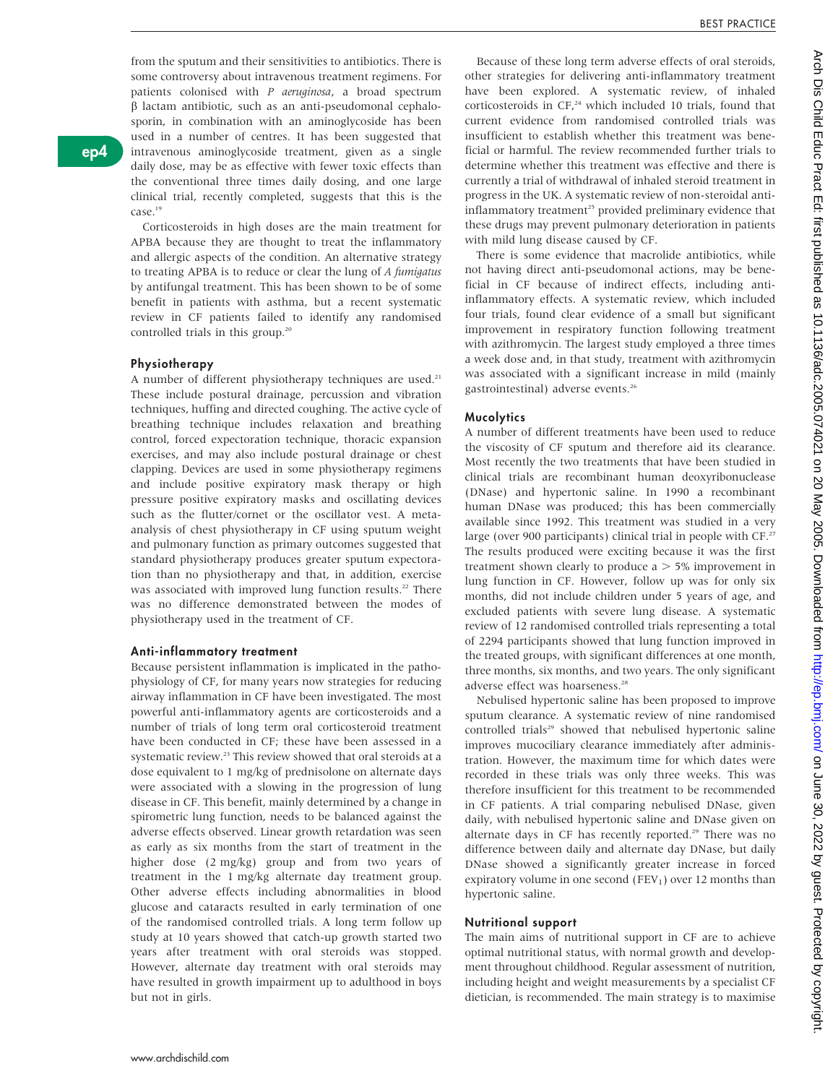from the sputum and their sensitivities to antibiotics. There is some controversy about intravenous treatment regimens. For patients colonised with P aeruginosa, a broad spectrum  $\beta$  lactam antibiotic, such as an anti-pseudomonal cephalosporin, in combination with an aminoglycoside has been used in a number of centres. It has been suggested that intravenous aminoglycoside treatment, given as a single daily dose, may be as effective with fewer toxic effects than the conventional three times daily dosing, and one large clinical trial, recently completed, suggests that this is the case.<sup>19</sup>

Corticosteroids in high doses are the main treatment for APBA because they are thought to treat the inflammatory and allergic aspects of the condition. An alternative strategy to treating APBA is to reduce or clear the lung of A fumigatus by antifungal treatment. This has been shown to be of some benefit in patients with asthma, but a recent systematic review in CF patients failed to identify any randomised controlled trials in this group.<sup>20</sup>

### Physiotherapy

A number of different physiotherapy techniques are used.<sup>21</sup> These include postural drainage, percussion and vibration techniques, huffing and directed coughing. The active cycle of breathing technique includes relaxation and breathing control, forced expectoration technique, thoracic expansion exercises, and may also include postural drainage or chest clapping. Devices are used in some physiotherapy regimens and include positive expiratory mask therapy or high pressure positive expiratory masks and oscillating devices such as the flutter/cornet or the oscillator vest. A metaanalysis of chest physiotherapy in CF using sputum weight and pulmonary function as primary outcomes suggested that standard physiotherapy produces greater sputum expectoration than no physiotherapy and that, in addition, exercise was associated with improved lung function results.<sup>22</sup> There was no difference demonstrated between the modes of physiotherapy used in the treatment of CF.

### Anti-inflammatory treatment

Because persistent inflammation is implicated in the pathophysiology of CF, for many years now strategies for reducing airway inflammation in CF have been investigated. The most powerful anti-inflammatory agents are corticosteroids and a number of trials of long term oral corticosteroid treatment have been conducted in CF; these have been assessed in a systematic review.<sup>23</sup> This review showed that oral steroids at a dose equivalent to 1 mg/kg of prednisolone on alternate days were associated with a slowing in the progression of lung disease in CF. This benefit, mainly determined by a change in spirometric lung function, needs to be balanced against the adverse effects observed. Linear growth retardation was seen as early as six months from the start of treatment in the higher dose (2 mg/kg) group and from two years of treatment in the 1 mg/kg alternate day treatment group. Other adverse effects including abnormalities in blood glucose and cataracts resulted in early termination of one of the randomised controlled trials. A long term follow up study at 10 years showed that catch-up growth started two years after treatment with oral steroids was stopped. However, alternate day treatment with oral steroids may have resulted in growth impairment up to adulthood in boys but not in girls.

Because of these long term adverse effects of oral steroids, other strategies for delivering anti-inflammatory treatment have been explored. A systematic review, of inhaled corticosteroids in  $CF<sub>1</sub><sup>24</sup>$  which included 10 trials, found that current evidence from randomised controlled trials was insufficient to establish whether this treatment was beneficial or harmful. The review recommended further trials to determine whether this treatment was effective and there is currently a trial of withdrawal of inhaled steroid treatment in progress in the UK. A systematic review of non-steroidal antiinflammatory treatment<sup>25</sup> provided preliminary evidence that these drugs may prevent pulmonary deterioration in patients with mild lung disease caused by CF.

There is some evidence that macrolide antibiotics, while not having direct anti-pseudomonal actions, may be beneficial in CF because of indirect effects, including antiinflammatory effects. A systematic review, which included four trials, found clear evidence of a small but significant improvement in respiratory function following treatment with azithromycin. The largest study employed a three times a week dose and, in that study, treatment with azithromycin was associated with a significant increase in mild (mainly gastrointestinal) adverse events.<sup>26</sup>

### **Mucolytics**

A number of different treatments have been used to reduce the viscosity of CF sputum and therefore aid its clearance. Most recently the two treatments that have been studied in clinical trials are recombinant human deoxyribonuclease (DNase) and hypertonic saline. In 1990 a recombinant human DNase was produced; this has been commercially available since 1992. This treatment was studied in a very large (over 900 participants) clinical trial in people with CF.<sup>27</sup> The results produced were exciting because it was the first treatment shown clearly to produce  $a > 5\%$  improvement in lung function in CF. However, follow up was for only six months, did not include children under 5 years of age, and excluded patients with severe lung disease. A systematic review of 12 randomised controlled trials representing a total of 2294 participants showed that lung function improved in the treated groups, with significant differences at one month, three months, six months, and two years. The only significant adverse effect was hoarseness.28

Nebulised hypertonic saline has been proposed to improve sputum clearance. A systematic review of nine randomised controlled trials<sup>29</sup> showed that nebulised hypertonic saline improves mucociliary clearance immediately after administration. However, the maximum time for which dates were recorded in these trials was only three weeks. This was therefore insufficient for this treatment to be recommended in CF patients. A trial comparing nebulised DNase, given daily, with nebulised hypertonic saline and DNase given on alternate days in CF has recently reported.<sup>29</sup> There was no difference between daily and alternate day DNase, but daily DNase showed a significantly greater increase in forced expiratory volume in one second (FEV<sub>1</sub>) over 12 months than hypertonic saline.

### Nutritional support

The main aims of nutritional support in CF are to achieve optimal nutritional status, with normal growth and development throughout childhood. Regular assessment of nutrition, including height and weight measurements by a specialist CF dietician, is recommended. The main strategy is to maximise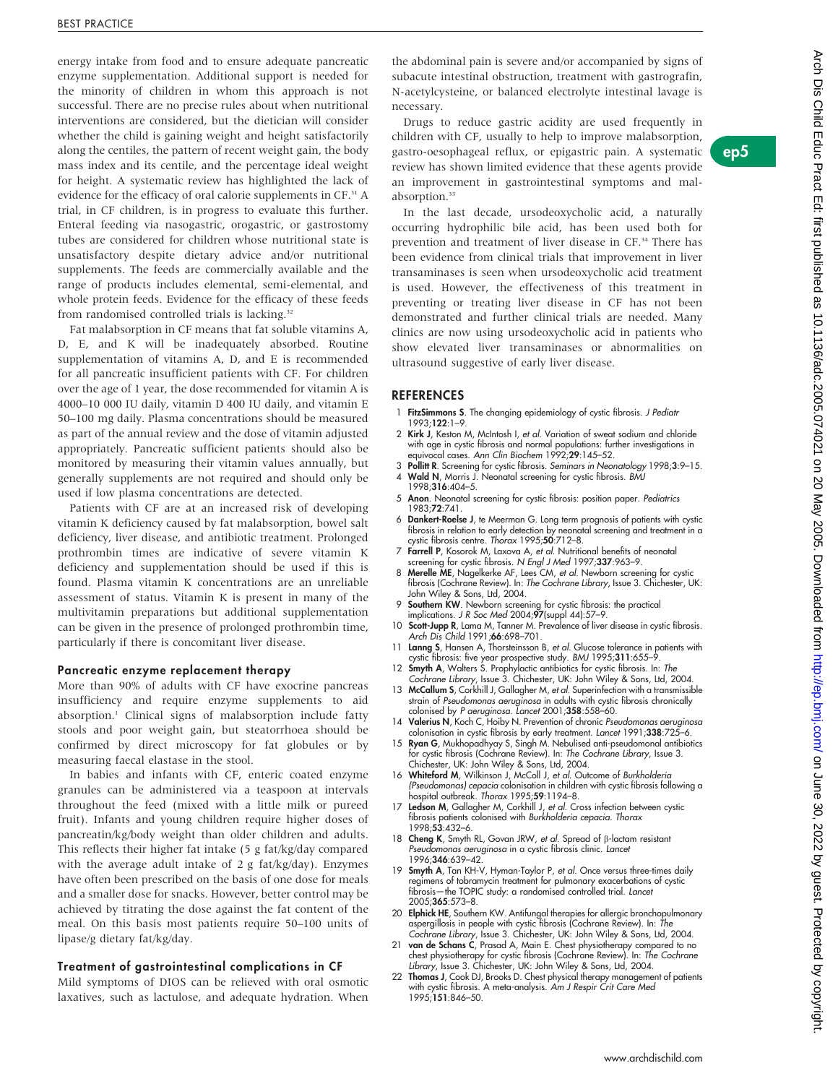energy intake from food and to ensure adequate pancreatic enzyme supplementation. Additional support is needed for the minority of children in whom this approach is not successful. There are no precise rules about when nutritional interventions are considered, but the dietician will consider whether the child is gaining weight and height satisfactorily along the centiles, the pattern of recent weight gain, the body mass index and its centile, and the percentage ideal weight for height. A systematic review has highlighted the lack of evidence for the efficacy of oral calorie supplements in CF.<sup>31</sup> A trial, in CF children, is in progress to evaluate this further. Enteral feeding via nasogastric, orogastric, or gastrostomy tubes are considered for children whose nutritional state is unsatisfactory despite dietary advice and/or nutritional supplements. The feeds are commercially available and the range of products includes elemental, semi-elemental, and whole protein feeds. Evidence for the efficacy of these feeds from randomised controlled trials is lacking.<sup>32</sup>

Fat malabsorption in CF means that fat soluble vitamins A, D, E, and K will be inadequately absorbed. Routine supplementation of vitamins A, D, and E is recommended for all pancreatic insufficient patients with CF. For children over the age of 1 year, the dose recommended for vitamin A is 4000–10 000 IU daily, vitamin D 400 IU daily, and vitamin E 50–100 mg daily. Plasma concentrations should be measured as part of the annual review and the dose of vitamin adjusted appropriately. Pancreatic sufficient patients should also be monitored by measuring their vitamin values annually, but generally supplements are not required and should only be used if low plasma concentrations are detected.

Patients with CF are at an increased risk of developing vitamin K deficiency caused by fat malabsorption, bowel salt deficiency, liver disease, and antibiotic treatment. Prolonged prothrombin times are indicative of severe vitamin K deficiency and supplementation should be used if this is found. Plasma vitamin K concentrations are an unreliable assessment of status. Vitamin K is present in many of the multivitamin preparations but additional supplementation can be given in the presence of prolonged prothrombin time, particularly if there is concomitant liver disease.

### Pancreatic enzyme replacement therapy

More than 90% of adults with CF have exocrine pancreas insufficiency and require enzyme supplements to aid absorption.1 Clinical signs of malabsorption include fatty stools and poor weight gain, but steatorrhoea should be confirmed by direct microscopy for fat globules or by measuring faecal elastase in the stool.

In babies and infants with CF, enteric coated enzyme granules can be administered via a teaspoon at intervals throughout the feed (mixed with a little milk or pureed fruit). Infants and young children require higher doses of pancreatin/kg/body weight than older children and adults. This reflects their higher fat intake (5 g fat/kg/day compared with the average adult intake of 2 g fat/kg/day). Enzymes have often been prescribed on the basis of one dose for meals and a smaller dose for snacks. However, better control may be achieved by titrating the dose against the fat content of the meal. On this basis most patients require 50–100 units of lipase/g dietary fat/kg/day.

#### Treatment of gastrointestinal complications in CF

Mild symptoms of DIOS can be relieved with oral osmotic laxatives, such as lactulose, and adequate hydration. When the abdominal pain is severe and/or accompanied by signs of subacute intestinal obstruction, treatment with gastrografin, N-acetylcysteine, or balanced electrolyte intestinal lavage is necessary.

Drugs to reduce gastric acidity are used frequently in children with CF, usually to help to improve malabsorption, gastro-oesophageal reflux, or epigastric pain. A systematic review has shown limited evidence that these agents provide an improvement in gastrointestinal symptoms and malabsorption.<sup>33</sup>

In the last decade, ursodeoxycholic acid, a naturally occurring hydrophilic bile acid, has been used both for prevention and treatment of liver disease in CF.<sup>34</sup> There has been evidence from clinical trials that improvement in liver transaminases is seen when ursodeoxycholic acid treatment is used. However, the effectiveness of this treatment in preventing or treating liver disease in CF has not been demonstrated and further clinical trials are needed. Many clinics are now using ursodeoxycholic acid in patients who show elevated liver transaminases or abnormalities on ultrasound suggestive of early liver disease.

### REFERENCES

- 1 FitzSimmons S. The changing epidemiology of cystic fibrosis. J Pediatr 1993;122:1–9.
- 2 Kirk J, Keston M, McIntosh I, et al. Variation of sweat sodium and chloride with age in cystic fibrosis and normal populations: further investigations in equivocal cases. Ann Clin Biochem 1992;29:145–52.
- 3 Pollitt R. Screening for cystic fibrosis. Seminars in Neonatology 1998;3:9-15. 4 Wald N, Morris J. Neonatal screening for cystic fibrosis. BMJ
	- 1998;316:404–5.
- 5 Anon. Neonatal screening for cystic fibrosis: position paper. Pediatrics 1983;72:741.
- 6 Dankert-Roelse J, te Meerman G. Long term prognosis of patients with cystic fibrosis in relation to early detection by neonatal screening and treatment in a<br>cystic fibrosis centre. *Thorax* 1995;**50**:712–8.
- 7 Farrell P, Kosorok M, Laxova A, et al. Nutritional benefits of neonatal screening for cystic fibrosis. N Engl J Med 1997;337:963-9.
- 8 Merelle ME, Nagelkerke AF, Lees CM, et al. Newborn screening for cystic fibrosis (Cochrane Review). In: The Cochrane Library, Issue 3. Chichester, UK: John Wiley & Sons, Ltd, 2004.
- 9 Southern KW. Newborn screening for cystic fibrosis: the practical
- implications. *J R Soc Med* 2004;**97**(suppl 44):57–9.<br>10 **Scott-Jupp R**, Lama M, Tanner M. Prevalence of liver disease in cystic fibrosis. Arch Dis Child 1991;66:698-701.
- 11 Lanng S, Hansen A, Thorsteinsson B, et al. Glucose tolerance in patients with cystic fibrosis: five year prospective study. BMJ 1995;311:655-9.
- 12 Smyth A, Walters S. Prophylactic antibiotics for cystic fibrosis. In: The
- Cochrane Library, Issue 3. Chichester, UK: John Wiley & Sons, Ltd, 2004. 13 McCallum S, Corkhill J, Gallagher M, et al. Superinfection with a transmissible strain of Pseudomonas aeruginosa in adults with cystic fibrosis chronically colonised by P aeruginosa. Lancet 2001;358:558–60.
- 14 Valerius N, Koch C, Hoiby N. Prevention of chronic Pseudomonas aeruginosa
- colonisation in cystic fibrosis by early treatment. Lancet 1991;338:725-6. 15 Ryan G, Mukhopadhyay S, Singh M. Nebulised anti-pseudomonal antibiotics for cystic fibrosis (Cochrane Review). In: The Cochrane Library, Issue 3. Chichester, UK: John Wiley & Sons, Ltd, 2004.
- 16 Whiteford M, Wilkinson J, McColl J, et al. Outcome of Burkholderia (Pseudomonas) cepacia colonisation in children with cystic fibrosis following a hospital outbreak. Thorax 1995;59:1194-8.
- 17 Ledson M, Gallagher M, Corkhill J, et al. Cross infection between cystic tibrosis patients colonised with *Burkholderia cepacia. Thorax*<br>1998;**53**:432–6.
- 18 Cheng K, Smyth RL, Govan JRW, et al. Spread of B-lactam resistant Pseudomonas aeruginosa in a cystic fibrosis clinic. Lancet 1996;346:639-42
- 19 Smyth A, Tan KH-V, Hyman-Taylor P, et al. Once versus three-times daily regimens of tobramycin treatment for pulmonary exacerbations of cystic fibrosis—the TOPIC study: a randomised controlled trial. Lancet 2005;365:573–8.
- 20 Elphick HE, Southern KW. Antifungal therapies for allergic bronchopulmonary aspergillosis in people with cystic fibrosis (Cochrane Review). In: The Cochrane Library, Issue 3. Chichester, UK: John Wiley & Sons, Ltd, 2004.
- 21 van de Schans C, Prasad A, Main E. Chest physiotherapy compared to no chest physiotherapy for cystic fibrosis (Cochrane Review). In: *The Cochrane*<br>*Library,* Issue 3. Chichester, UK: John Wiley & Sons, Ltd, 2004.
- 22 Thomas J, Cook DJ, Brooks D. Chest physical therapy management of patients with cystic fibrosis. A meta-analysis. Am J Respir Crit Care Med 1995;151:846–50.

ep5